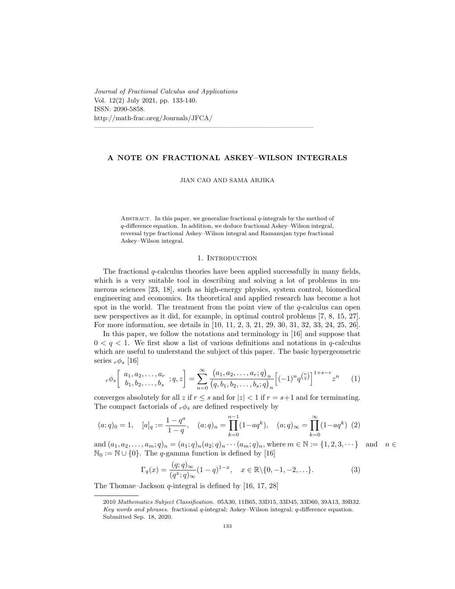*Journal of Fractional Calculus and Applications* Vol. 12(2) July 2021, pp. 133-140. ISSN: 2090-5858. http://math-frac.oreg/Journals/JFCA/

# **A NOTE ON FRACTIONAL ASKEY–WILSON INTEGRALS**

————————————————————————————————

#### JIAN CAO AND SAMA ARJIKA

Abstract. In this paper, we generalize fractional *q*-integrals by the method of *q*-difference equation. In addition, we deduce fractional Askey–Wilson integral, reversal type fractional Askey–Wilson integral and Ramanujan type fractional Askey–Wilson integral.

### 1. Introduction

The fractional *q*-calculus theories have been applied successfully in many fields, which is a very suitable tool in describing and solving a lot of problems in numerous sciences [23, 18], such as high-energy physics, system control, biomedical engineering and economics. Its theoretical and applied research has become a hot spot in the world. The treatment from the point view of the *q*-calculus can open new perspectives as it did, for example, in optimal control problems [7, 8, 15, 27]. For more information, see details in [10, 11, 2, 3, 21, 29, 30, 31, 32, 33, 24, 25, 26].

In this paper, we follow the notations and terminology in [16] and suppose that  $0 < q < 1$ . We first show a list of various definitions and notations in q-calculus which are useful to understand the subject of this paper. The basic hypergeometric series  $r\phi_s$  [16]

$$
r\phi_s \left[ a_1, a_2, \dots, a_r \atop b_1, b_2, \dots, b_s \right] = \sum_{n=0}^{\infty} \frac{(a_1, a_2, \dots, a_r; q)_n}{(q, b_1, b_2, \dots, b_s; q)_n} \left[ (-1)^n q^{\binom{n}{2}} \right]^{1+s-r} z^n \tag{1}
$$

converges absolutely for all *z* if  $r \leq s$  and for  $|z| < 1$  if  $r = s + 1$  and for terminating. The compact factorials of  $r\phi_s$  are defined respectively by

$$
(a;q)_0 = 1, \quad [a]_q := \frac{1-q^a}{1-q}, \quad (a;q)_n = \prod_{k=0}^{n-1} (1-aq^k), \quad (a;q)_{\infty} = \prod_{k=0}^{\infty} (1-aq^k) \tag{2}
$$

and  $(a_1, a_2, \ldots, a_m; q)_n = (a_1; q)_n (a_2; q)_n \cdots (a_m; q)_n$ , where  $m \in \mathbb{N} := \{1, 2, 3, \cdots\}$  and  $n \in \mathbb{N}$  $\mathbb{N}_0 := \mathbb{N} \cup \{0\}$ . The *q*-gamma function is defined by [16]

$$
\Gamma_q(x) = \frac{(q;q)_{\infty}}{(q^x;q)_{\infty}} (1-q)^{1-x}, \quad x \in \mathbb{R} \setminus \{0, -1, -2, \ldots\}.
$$
 (3)

The Thomae–Jackson *q*-integral is defined by [16, 17, 28]

<sup>2010</sup> *Mathematics Subject Classification.* 05A30, 11B65, 33D15, 33D45, 33D60, 39A13, 39B32. *Key words and phrases.* fractional *q*-integral; Askey–Wilson integral; *q*-difference equation. Submitted Sep. 18, 2020.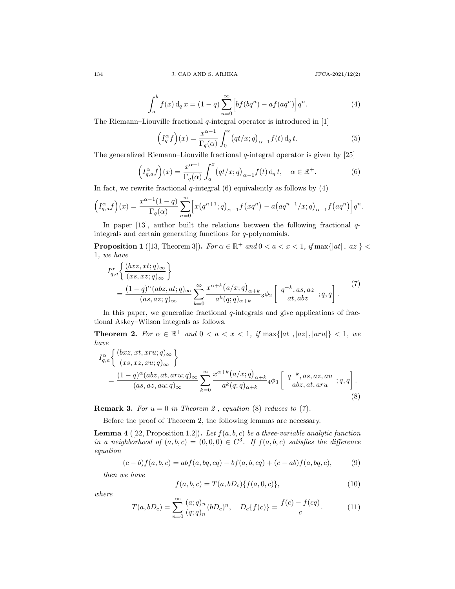$$
\int_{a}^{b} f(x) d_q x = (1 - q) \sum_{n=0}^{\infty} \left[ b f(bq^n) - a f(aq^n) \right] q^n.
$$
 (4)

The Riemann–Liouville fractional *q*-integral operator is introduced in [1]

$$
\left(I_q^{\alpha}f\right)(x) = \frac{x^{\alpha-1}}{\Gamma_q(\alpha)} \int_0^x \left(qt/x; q\right)_{\alpha-1} f(t) \,d_q \,t. \tag{5}
$$

The generalized Riemann–Liouville fractional *q*-integral operator is given by [25]

$$
\left(I_{q,a}^{\alpha}f\right)(x) = \frac{x^{\alpha-1}}{\Gamma_q(\alpha)} \int_a^x \left(qt/x; q\right)_{\alpha-1} f(t) \, \mathrm{d}_q \, t, \quad \alpha \in \mathbb{R}^+.
$$
 (6)

In fact, we rewrite fractional  $q$ -integral  $(6)$  equivalently as follows by  $(4)$ 

$$
\left(I_{q,a}^{\alpha}f\right)(x) = \frac{x^{\alpha-1}(1-q)}{\Gamma_q(\alpha)} \sum_{n=0}^{\infty} \left[ x\left(q^{n+1};q\right)_{\alpha-1}f\left(xq^n\right) - a\left(aq^{n+1}/x;q\right)_{\alpha-1}f\left(aq^n\right) \right] q^n.
$$

In paper [13], author built the relations between the following fractional *q*integrals and certain generating functions for *q*-polynomials.

**Proposition 1** ([13, Theorem 3]). *For*  $\alpha \in \mathbb{R}^+$  and  $0 < a < x < 1$ , if  $\max\{|at|, |az|\}$ 1*, we have*

$$
I_{q,a}^{\alpha} \left\{ \frac{(bxz,xt;q)_{\infty}}{(xs,xz;q)_{\infty}} \right\}
$$
  
= 
$$
\frac{(1-q)^{\alpha}(abz,at;q)_{\infty}}{(as,az;q)_{\infty}} \sum_{k=0}^{\infty} \frac{x^{\alpha+k}(a/x;q)_{\alpha+k}}{a^k(q;q)_{\alpha+k}} {}_3\phi_2 \left[ q^{-k}, as, az; q, q \right].
$$
 (7)

In this paper, we generalize fractional  $q$ -integrals and give applications of fractional Askey–Wilson integrals as follows.

**Theorem 2.** For  $\alpha \in \mathbb{R}^+$  and  $0 < a < x < 1$ , if  $\max\{|at|, |aa|, |ax|, |aru|\} < 1$ , we *have*

$$
I_{q,a}^{\alpha} \left\{ \frac{(bxz,xt, xru;q)_{\infty}}{(xs, xz, xu;q)_{\infty}} \right\}
$$
  
= 
$$
\frac{(1-q)^{\alpha}(abz, at, aru;q)_{\infty}}{(as, az, au;q)_{\infty}} \sum_{k=0}^{\infty} \frac{x^{\alpha+k}(a/x;q)_{\alpha+k}}{a^k(q;q)_{\alpha+k}} 4\phi_3 \left[ \begin{array}{c} q^{-k}, as, az, au \\ abz, at, aru \end{array}; q, q \right].
$$
 (8)

**Remark 3.** *For*  $u = 0$  *in Theorem 2*, *equation* (8) *reduces to* (7)*.* 

Before the proof of Theorem 2, the following lemmas are necessary.

**Lemma 4** ([22, Proposition 1.2]). Let  $f(a, b, c)$  be a three-variable analytic function *in a neighborhood of*  $(a, b, c) = (0, 0, 0) \in C^3$ . If  $f(a, b, c)$  satisfies the difference *equation*

$$
(c-b)f(a,b,c) = abf(a,bq,cq) - bf(a,b,cq) + (c-ab)f(a,bq,c),
$$
 (9)

*then we have*

$$
f(a, b, c) = T(a, bD_c)\{f(a, 0, c)\},\tag{10}
$$

*where*

$$
T(a, bD_c) = \sum_{n=0}^{\infty} \frac{(a;q)_n}{(q;q)_n} (bD_c)^n, \quad D_c\{f(c)\} = \frac{f(c) - f(cq)}{c}.
$$
 (11)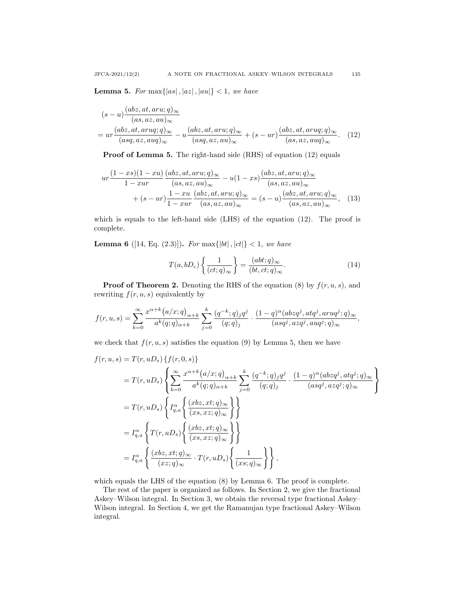**Lemma 5.** For  $\max\{|as|,|az|,|au|\}$  < 1*, we have* 

$$
(s-u)\frac{(abz,at,aru;q)_{\infty}}{(as,az,au)_{\infty}}
$$
  
=  $ur \frac{(abz,at,aruq;q)_{\infty}}{(asq,az,auq)_{\infty}} - u \frac{(abz,at,aru;q)_{\infty}}{(asq,az,au)_{\infty}} + (s-ur) \frac{(abz,at,aruq;q)_{\infty}}{(as,az,auq)_{\infty}}.$  (12)

**Proof of Lemma 5.** The right-hand side (RHS) of equation (12) equals

$$
ur \frac{(1-xs)(1-xu)}{1-xur} \frac{(abz,at,aru;q)_{\infty}}{(as,az,au)_{\infty}} - u(1-xs) \frac{(abz,at,aru;q)_{\infty}}{(as,az,au)_{\infty}} + (s-ur) \frac{1-xu}{1-xur} \frac{(abz,at,aru;q)_{\infty}}{(as,az,au)_{\infty}} = (s-u) \frac{(abz,at,aru;q)_{\infty}}{(as,az,au)_{\infty}},
$$
(13)

which is equals to the left-hand side (LHS) of the equation (12). The proof is complete.

**Lemma 6** ([14, Eq. (2.3)]). For max $\{|bt|, |ct|\} < 1$ , we have

$$
T(a,bD_c)\left\{\frac{1}{(ct;q)_{\infty}}\right\} = \frac{(abt;q)_{\infty}}{(bt,ct;q)_{\infty}}.
$$
\n(14)

**Proof of Theorem 2.** Denoting the RHS of the equation  $(8)$  by  $f(r, u, s)$ , and rewriting  $f(r, u, s)$  equivalently by

$$
f(r,u,s)=\sum_{k=0}^{\infty}\frac{x^{\alpha+k}\big(a/x;q\big)_{\alpha+k}}{a^k(q;q)_{\alpha+k}}\sum_{j=0}^k\frac{(q^{-k};q)_jq^j}{(q;q)_j}\cdot\frac{(1-q)^\alpha(abzq^j,atq^j,aruq^j;q)_\infty}{(asq^j,azq^j,auq^j;q)_\infty},
$$

we check that  $f(r, u, s)$  satisfies the equation (9) by Lemma 5, then we have

$$
f(r, u, s) = T(r, uD_s) \{f(r, 0, s)\}
$$
  
\n
$$
= T(r, uD_s) \left\{ \sum_{k=0}^{\infty} \frac{x^{\alpha+k} (a/x; q)_{\alpha+k}}{a^k (q; q)_{\alpha+k}} \sum_{j=0}^k \frac{(q^{-k}; q)_j q^j}{(q; q)_j} \cdot \frac{(1-q)^{\alpha} (abz q^j, at q^j; q)_{\infty}}{(as q^j, az q^j; q)_{\infty}} \right\}
$$
  
\n
$$
= T(r, uD_s) \left\{ I_{q,a}^{\alpha} \left\{ \frac{(xbz, xt; q)_{\infty}}{(xs, xz; q)_{\infty}} \right\} \right\}
$$
  
\n
$$
= I_{q,a}^{\alpha} \left\{ T(r, uD_s) \left\{ \frac{(xbz, xt; q)_{\infty}}{(xs, xz; q)_{\infty}} \right\} \right\}
$$
  
\n
$$
= I_{q,a}^{\alpha} \left\{ \frac{(xbz, xt; q)_{\infty}}{(xz; q)_{\infty}} \cdot T(r, uD_s) \left\{ \frac{1}{(xs; q)_{\infty}} \right\} \right\},
$$

which equals the LHS of the equation  $(8)$  by Lemma 6. The proof is complete.

The rest of the paper is organized as follows. In Section 2, we give the fractional Askey–Wilson integral. In Section 3, we obtain the reversal type fractional Askey– Wilson integral. In Section 4, we get the Ramanujan type fractional Askey–Wilson integral.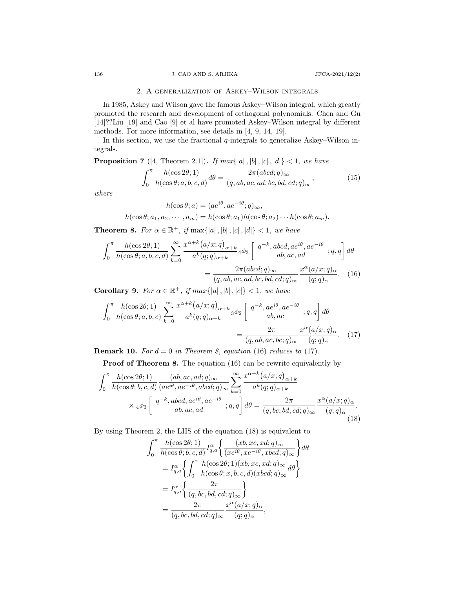# 2. A generalization of Askey–Wilson integrals

In 1985, Askey and Wilson gave the famous Askey–Wilson integral, which greatly promoted the research and development of orthogonal polynomials. Chen and Gu [14]??Liu [19] and Cao [9] et al have promoted Askey–Wilson integral by different methods. For more information, see details in [4, 9, 14, 19].

In this section, we use the fractional *q*-integrals to generalize Askey–Wilson integrals.

**Proposition 7** ([4, Theorem 2.1]). *If max*{|a|, |b|, |c|, |d|} < 1*, we have* 

$$
\int_0^\pi \frac{h(\cos 2\theta; 1)}{h(\cos \theta; a, b, c, d)} d\theta = \frac{2\pi (abcd; q)_{\infty}}{(q, ab, ac, ad, bc, bd, cd; q)_{\infty}},
$$
(15)

*where*

$$
h(\cos \theta; a) = (ae^{i\theta}, ae^{-i\theta}; q)_{\infty},
$$
  

$$
h(\cos \theta; a_1, a_2, \cdots, a_m) = h(\cos \theta; a_1)h(\cos \theta; a_2) \cdots h(\cos \theta; a_m).
$$

**Theorem 8.** *For*  $\alpha \in \mathbb{R}^+$ , *if* max $\{|a|, |b|, |c|, |d|\} < 1$ , we have

$$
\int_0^\pi \frac{h(\cos 2\theta; 1)}{h(\cos \theta; a, b, c, d)} \sum_{k=0}^\infty \frac{x^{\alpha+k} (a/x; q)_{\alpha+k}}{a^k (q; q)_{\alpha+k}} 4\phi_3 \left[ q^{-k}, abcd, ae^{i\theta}, ae^{-i\theta} ; q, q \right] d\theta
$$

$$
= \frac{2\pi (abcd; q)_{\infty}}{(q, ab, ac, ad, bc, bd, cd; q)_{\infty}} \frac{x^{\alpha} (a/x; q)_{\alpha}}{(q; q)_{\alpha}}.
$$
(16)

**Corollary 9.** For  $\alpha \in \mathbb{R}^+$ , if  $max\{|a|, |b|, |c|\} < 1$ , we have

$$
\int_0^\pi \frac{h(\cos 2\theta; 1)}{h(\cos \theta; a, b, c)} \sum_{k=0}^\infty \frac{x^{\alpha+k} (a/x; q)_{\alpha+k}}{a^k (q; q)_{\alpha+k}} 3\phi_2 \left[ \begin{array}{c} q^{-k}, a e^{i\theta}, a e^{-i\theta} \\ a b, a c \end{array}; q, q \right] d\theta
$$

$$
= \frac{2\pi}{(q, ab, ac, bc; q)_{\infty}} \frac{x^{\alpha} (a/x; q)_{\alpha}}{(q; q)_{\alpha}}.
$$
 (17)

**Remark 10.** For  $d = 0$  in Theorem 8, equation (16) reduces to (17).

**Proof of Theorem 8.** The equation (16) can be rewrite equivalently by

$$
\int_{0}^{\pi} \frac{h(\cos 2\theta; 1)}{h(\cos \theta; b, c, d)} \frac{(ab, ac, ad; q)_{\infty}}{(ae^{i\theta}, ae^{-i\theta}, abcd; q)_{\infty}} \sum_{k=0}^{\infty} \frac{x^{\alpha+k} (a/x; q)_{\alpha+k}}{a^k (q; q)_{\alpha+k}}
$$
  
×  $4\phi_3 \left[ \begin{array}{c} q^{-k}, abcd, ae^{i\theta}, ae^{-i\theta} \\ ab, ac, ad \end{array} ; q, q \right] d\theta = \frac{2\pi}{(q, bc, bd, cd; q)_{\infty}} \frac{x^{\alpha} (a/x; q)_{\alpha}}{(q; q)_{\alpha}}.$  (18)

By using Theorem 2, the LHS of the equation (18) is equivalent to

$$
\int_0^\pi \frac{h(\cos 2\theta; 1)}{h(\cos \theta; b, c, d)} I_{q,a}^{\alpha} \left\{ \frac{(xb, xc, xd; q)_{\infty}}{(xe^{i\theta}, xe^{-i\theta}, xbcd; q)_{\infty}} \right\} d\theta
$$
\n
$$
= I_{q,a}^{\alpha} \left\{ \int_0^\pi \frac{h(\cos 2\theta; 1)(xb, xc, xd; q)_{\infty}}{h(\cos \theta; x, b, c, d)(xbcd; q)_{\infty}} d\theta \right\}
$$
\n
$$
= I_{q,a}^{\alpha} \left\{ \frac{2\pi}{(q, bc, bd, cd; q)_{\infty}} \right\}
$$
\n
$$
= \frac{2\pi}{(q, bc, bd, cd; q)_{\infty}} \frac{x^{\alpha}(a/x; q)_{\alpha}}{(q; q)_{\alpha}},
$$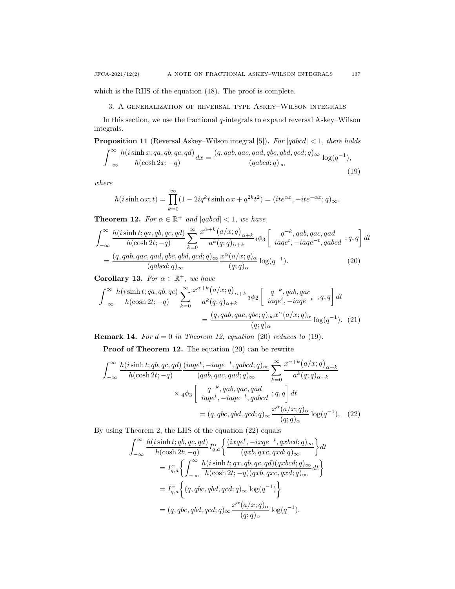## 3. A generalization of reversal type Askey–Wilson integrals

In this section, we use the fractional *q*-integrals to expand reversal Askey–Wilson integrals.

**Proposition 11** (Reversal Askey–Wilson integral [5])**.** *For |qabcd| <* 1*, there holds* ∫ *<sup>∞</sup> h*(*i*sinh *x*; *qa, qb, qc, qd*)  $\frac{d}{d}h(\cosh 2x; -q) dx = \frac{(q, qab, qac, qad, qbc, qbd, qcd;q)_{\infty}}{(qabcd;q)_{\infty}}$  $\frac{q}{(qabcd;q)_\infty} \log(q^{-1}),$ <br> $\frac{qabcd;q)_\infty}{q^2}$ 

$$
J = \infty
$$
 where

$$
h(i\sinh\alpha x;t) = \prod_{k=0}^{\infty} (1 - 2iq^k t \sinh\alpha x + q^{2k} t^2) = (ite^{\alpha x}, -ite^{-\alpha x}; q)_{\infty}.
$$

**Theorem 12.** For  $\alpha \in \mathbb{R}^+$  and  $|qabcd| < 1$ , we have

$$
\int_{-\infty}^{\infty} \frac{h(i\sinh t; qa, qb, qc, qd)}{h(\cosh 2t; -q)} \sum_{k=0}^{\infty} \frac{x^{\alpha+k} (a/x; q)_{\alpha+k}}{a^k (q; q)_{\alpha+k}} 4\phi_3 \left[ \frac{q^{-k}, qab, qac, qad}{iaq^{t}, -iaq^{t}, qabcd} ; q, q \right] dt
$$

$$
= \frac{(q, qab, qac, qad, qbc, qbd, qcd; q)_{\infty}}{(qabcd; q)_{\infty}} \frac{x^{\alpha} (a/x; q)_{\alpha}}{(q; q)_{\alpha}} \log(q^{-1}). \tag{20}
$$

**Corollary 13.** *For*  $\alpha \in \mathbb{R}^+$ *, we have* 

$$
\int_{-\infty}^{\infty} \frac{h(i\sinh t; qa, qb, qc)}{h(\cosh 2t; -q)} \sum_{k=0}^{\infty} \frac{x^{\alpha+k} (a/x; q)_{\alpha+k}}{a^k (q; q)_{\alpha+k}} {}_3\phi_2 \left[ \begin{array}{c} q^{-k}, qab, qac \\ i aqe^t, -iaqe^{-t} \end{array}; q, q \right] dt
$$

$$
= \frac{(q, qab, qac, qbc; q)_{\infty} x^{\alpha} (a/x; q)_{\alpha}}{(q; q)_{\alpha}} \log(q^{-1}). \tag{21}
$$

**Remark 14.** *For*  $d = 0$  *in Theorem 12, equation* (20) *reduces to* (19)*.* 

**Proof of Theorem 12.** The equation (20) can be rewrite

$$
\int_{-\infty}^{\infty} \frac{h(i\sinh t; qb, qc, qd)}{h(\cosh 2t; -q)} \frac{(iaqe^t, -iaqe^{-t}, qabcd; q)_{\infty}}{(qab, qac, qad; q)_{\infty}} \sum_{k=0}^{\infty} \frac{x^{\alpha+k} (a/x; q)_{\alpha+k}}{a^k(q; q)_{\alpha+k}}
$$

$$
\times 4\phi_3 \left[ \frac{q^{-k}, qab, qac, qad}{iaqe^t, -iaqe^{-t}, qabcd}; q, q \right] dt
$$

$$
= (q, qbc, qbd, qcd; q)_{\infty} \frac{x^{\alpha} (a/x; q)_{\alpha}}{(q; q)_{\alpha}} \log(q^{-1}), \quad (22)
$$

By using Theorem 2, the LHS of the equation (22) equals

$$
\int_{-\infty}^{\infty} \frac{h(i\sinh t; qb, qc, qd)}{h(\cosh 2t; -q)} I_{q,a}^{\alpha} \left\{ \frac{(ixqe^t, -ixqe^{-t}, qxbcd;q)_{\infty}}{(qxb, qxc, qxd;q)_{\infty}} \right\} dt
$$
  
\n
$$
= I_{q,a}^{\alpha} \left\{ \int_{-\infty}^{\infty} \frac{h(i\sinh t; qx, qb, qc, qd)(qxbcd;q)_{\infty}}{h(\cosh 2t; -q)(qxb, qxc, qxd;q)_{\infty}} dt \right\}
$$
  
\n
$$
= I_{q,a}^{\alpha} \left\{ (q, qbc, qbd, qcd;q)_{\infty} \log(q^{-1}) \right\}
$$
  
\n
$$
= (q, qbc, qbd, qcd;q)_{\infty} \frac{x^{\alpha}(a/x; q)_{\alpha}}{(q;q)_{\alpha}} \log(q^{-1}).
$$

(19)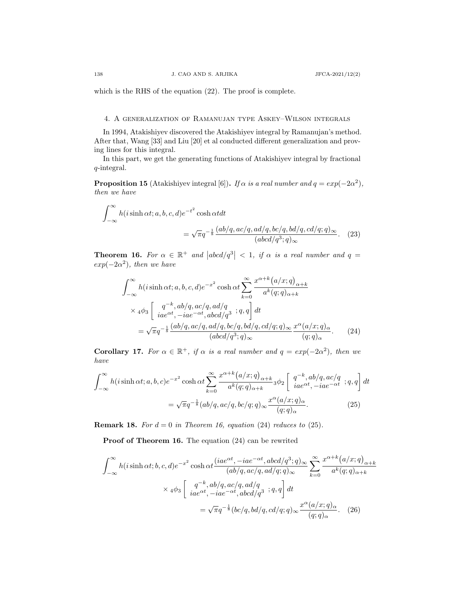which is the RHS of the equation (22). The proof is complete.

# 4. A generalization of Ramanujan type Askey–Wilson integrals

In 1994, Atakishiyev discovered the Atakishiyev integral by Ramanujan's method. After that, Wang [33] and Liu [20] et al conducted different generalization and proving lines for this integral.

In this part, we get the generating functions of Atakishiyev integral by fractional *q*-integral.

**Proposition 15** (Atakishiyev integral [6]). *If*  $\alpha$  *is a real number and*  $q = exp(-2\alpha^2)$ , *then we have*

$$
\int_{-\infty}^{\infty} h(i\sinh\alpha t; a, b, c, d)e^{-t^2} \cosh\alpha t dt
$$

$$
= \sqrt{\pi}q^{-\frac{1}{8}} \frac{(ab/q, ac/q, ad/q, bc/q, bd/q, cd/q;q)_{\infty}}{(abcd/q^3;q)_{\infty}}.
$$
 (23)

**Theorem 16.** For  $\alpha \in \mathbb{R}^+$  and  $|abcd/q^3| < 1$ , if  $\alpha$  is a real number and  $q =$  $exp(-2\alpha^2)$ *, then we have* 

$$
\int_{-\infty}^{\infty} h(i\sinh \alpha t; a, b, c, d)e^{-x^2} \cosh \alpha t \sum_{k=0}^{\infty} \frac{x^{\alpha+k} (a/x; q)_{\alpha+k}}{a^k (q; q)_{\alpha+k}}
$$
  
 
$$
\times 4\phi_3 \left[ \frac{q^{-k}, ab/q, ac/q, ad/q}{iae^{\alpha t}, -iae^{-\alpha t}, abcd/q^3}; q, q \right] dt
$$
  

$$
= \sqrt{\pi} q^{-\frac{1}{8}} \frac{(ab/q, ac/q, ad/q, bc/q, bd/q, cd/q; q)_{\infty}}{(abcd/q^3; q)_{\infty}} \frac{x^{\alpha} (a/x; q)_{\alpha}}{(q; q)_{\alpha}}.
$$
 (24)

**Corollary 17.** For  $\alpha \in \mathbb{R}^+$ , if  $\alpha$  is a real number and  $q = exp(-2\alpha^2)$ , then we *have*

$$
\int_{-\infty}^{\infty} h(i\sinh \alpha t; a, b, c)e^{-x^2} \cosh \alpha t \sum_{k=0}^{\infty} \frac{x^{\alpha+k} (a/x; q)_{\alpha+k}}{a^k (q; q)_{\alpha+k}} 3\phi_2 \left[ \begin{array}{c} q^{-k}, ab/q, ac/q \\ i a e^{\alpha t}, -i a e^{-\alpha t} \end{array}; q, q \right] dt
$$

$$
= \sqrt{\pi} q^{-\frac{1}{8}} (ab/q, ac/q, bc/q; q)_{\infty} \frac{x^{\alpha} (a/x; q)_{\alpha}}{(q; q)_{\alpha}}.
$$
(25)

**Remark 18.** For  $d = 0$  in Theorem 16, equation (24) reduces to (25).

**Proof of Theorem 16.** The equation (24) can be rewrited

$$
\int_{-\infty}^{\infty} h(i\sinh\alpha t; b, c, d)e^{-x^2} \cosh\alpha t \frac{(iae^{\alpha t}, -iae^{-\alpha t}, abcd/q^3; q)_{\infty}}{(ab/q, ac/q, ad/q; q)_{\infty}} \sum_{k=0}^{\infty} \frac{x^{\alpha+k}(a/x; q)_{\alpha+k}}{a^k(q; q)_{\alpha+k}}
$$

$$
\times 4\phi_3 \left[ \frac{q^{-k}, ab/q, ac/q, ad/q}{iae^{\alpha t}, -iae^{-\alpha t}, abcd/q^3}; q, q \right] dt
$$

$$
= \sqrt{\pi}q^{-\frac{1}{8}}(bc/q, bd/q, cd/q; q)_{\infty} \frac{x^{\alpha}(a/x; q)_{\alpha}}{(q; q)_{\alpha}}.
$$
(26)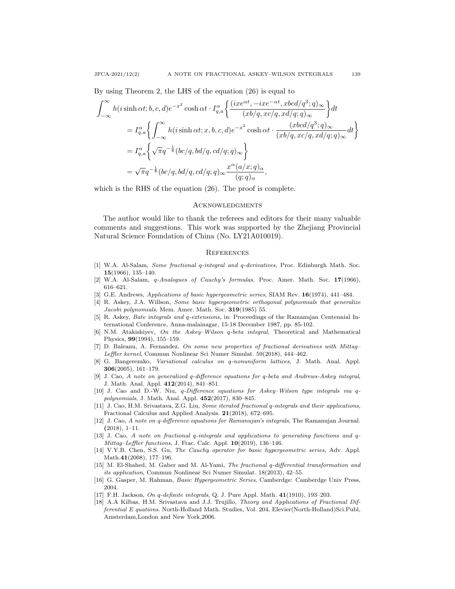By using Theorem 2, the LHS of the equation (26) is equal to

$$
\int_{-\infty}^{\infty} h(i\sinh \alpha t; b, c, d)e^{-x^2} \cosh \alpha t \cdot I_{q,a}^{\alpha} \left\{ \frac{(ixe^{\alpha t}, -ixe^{-\alpha t}, xbcd/q^3; q)_{\infty}}{(xb/q, xc/q, xd/q; q)_{\infty}} \right\} dt
$$
  
\n
$$
= I_{q,a}^{\alpha} \left\{ \int_{-\infty}^{\infty} h(i\sinh \alpha t; x, b, c, d)e^{-x^2} \cosh \alpha t \cdot \frac{(xbcd/q^3; q)_{\infty}}{(xb/q, xc/q, xd/q; q)_{\infty}} dt \right\}
$$
  
\n
$$
= I_{q,a}^{\alpha} \left\{ \sqrt{\pi} q^{-\frac{1}{8}} (bc/q, bd/q, cd/q; q)_{\infty} \right\}
$$
  
\n
$$
= \sqrt{\pi} q^{-\frac{1}{8}} (bc/q, bd/q, cd/q; q)_{\infty} \frac{x^{\alpha} (a/x; q)_{\alpha}}{(q; q)_{\alpha}},
$$

which is the RHS of the equation  $(26)$ . The proof is complete.

#### **ACKNOWLEDGMENTS**

The author would like to thank the referees and editors for their many valuable comments and suggestions. This work was supported by the Zhejiang Provincial Natural Science Foundation of China (No. LY21A010019).

### **REFERENCES**

- [1] W.A. Al-Salam, *Some fractional q-integral and q-derivatives*, Proc. Edinburgh Math. Soc. **15**(1966), 135–140.
- [2] W.A. Al-Salam, *q-Analogues of Cauchy's formulas*, Proc. Amer. Math. Soc. **17**(1966), 616–621.
- [3] G.E. Andrews, *Applications of basic hypergeometric series*, SIAM Rev. **16**(1974), 441–484.
- [4] R. Askey, J.A. Willson, *Some basic hypergeometric orthogonal polynomials that generalize Jacobi polynomials*, Mem. Amer. Math. Soc. **319**(1985) 55.
- [5] R. Askey, *Bate integrals and q-extensions*, in: Proceedings of the Ramanujan Centennial International Conference, Anna-malainagar, 15-18 December 1987, pp. 85-102.
- [6] N.M. Atakishiyev, *On the Askey–Wilson q-beta integral*, Theoretical and Mathematical Physics, **99**(1994), 155–159.
- [7] D. Baleanu, A. Fernandez, *On some new properties of fractional derivatives with Mittag– Leffler kernel*, Commun Nonlinear Sci Numer Simulat. 59(2018), 444–462.
- [8] G. Bangerezako, *Variational calculus on q-nonuniform lattices*, J. Math. Anal. Appl. **306**(2005), 161–179.
- [9] J. Cao, *A note on generalized q-difference equations for q-beta and Andrews-Askey integral*, J. Math. Anal. Appl. **412**(2014), 841–851.
- [10] J. Cao and D.-W. Niu, *q-Difference equations for Askey–Wilson type integrals via qpolynomials*, J. Math. Anal. Appl. **452**(2017), 830–845.
- [11] J. Cao, H.M. Srivastava, Z.G. Liu, *Some iterated fractional q-integrals and their applications*, Fractional Calculus and Applied Analysis. **21**(2018), 672–695.
- [12] J. Cao, *A note on q-difference equations for Ramanujan's integrals*, The Ramanujan Journal. **(**2018), 1–11.
- [13] J. Cao, *A note on fractional q-integrals and applications to generating functions and q-Mittag–Leffler functions*, J. Frac. Calc. Appl. **10**(2019), 136–146.
- [14] V.Y.B. Chen, S.S. Gu, *The Cauchy operator for basic hypergeometric series*, Adv. Appl. Math.**41**(2008), 177–196.
- [15] M. El-Shahed, M. Gaber and M. Al-Yami, *The fractional q-differential transformation and its application*, Commun Nonlinear Sci Numer Simulat. 18(2013), 42–55.
- [16] G. Gasper, M. Rahman, *Basic Hypergeometric Series*, Camberdge: Camberdge Univ Press, 2004.
- [17] F.H. Jackson, *On q-definite integrals*, Q. J. Pure Appl. Math. **41**(1910), 193–203.
- [18] A.A Kilbas, H.M. Srivastava and J.J. Trujillo, *Theory and Applications of Fractional Differential E quations*. North-Holland Math. Studies, Vol. 204, Elevier(North-Holland)Sci.Publ, Amsterdam,London and New York,2006.